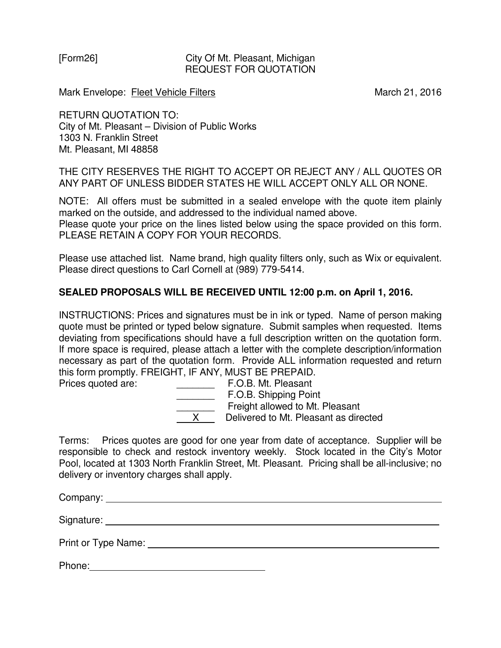## [Form26] City Of Mt. Pleasant, Michigan REQUEST FOR QUOTATION

Mark Envelope: Fleet Vehicle Filters March 21, 2016

RETURN QUOTATION TO: City of Mt. Pleasant – Division of Public Works 1303 N. Franklin Street Mt. Pleasant, MI 48858

THE CITY RESERVES THE RIGHT TO ACCEPT OR REJECT ANY / ALL QUOTES OR ANY PART OF UNLESS BIDDER STATES HE WILL ACCEPT ONLY ALL OR NONE.

NOTE: All offers must be submitted in a sealed envelope with the quote item plainly marked on the outside, and addressed to the individual named above.

Please quote your price on the lines listed below using the space provided on this form. PLEASE RETAIN A COPY FOR YOUR RECORDS.

Please use attached list. Name brand, high quality filters only, such as Wix or equivalent. Please direct questions to Carl Cornell at (989) 779-5414.

## **SEALED PROPOSALS WILL BE RECEIVED UNTIL 12:00 p.m. on April 1, 2016.**

INSTRUCTIONS: Prices and signatures must be in ink or typed. Name of person making quote must be printed or typed below signature. Submit samples when requested. Items deviating from specifications should have a full description written on the quotation form. If more space is required, please attach a letter with the complete description/information necessary as part of the quotation form. Provide ALL information requested and return this form promptly. FREIGHT, IF ANY, MUST BE PREPAID.

Prices quoted are: \_\_\_\_\_\_\_ F.O.B. Mt. Pleasant **E.O.B. Shipping Point** Freight allowed to Mt. Pleasant X Delivered to Mt. Pleasant as directed

Terms: Prices quotes are good for one year from date of acceptance. Supplier will be responsible to check and restock inventory weekly. Stock located in the City's Motor Pool, located at 1303 North Franklin Street, Mt. Pleasant. Pricing shall be all-inclusive; no delivery or inventory charges shall apply.

Company: <u>example</u> and the company:

Signature:

Print or Type Name:

| Phone: |  |
|--------|--|
|        |  |